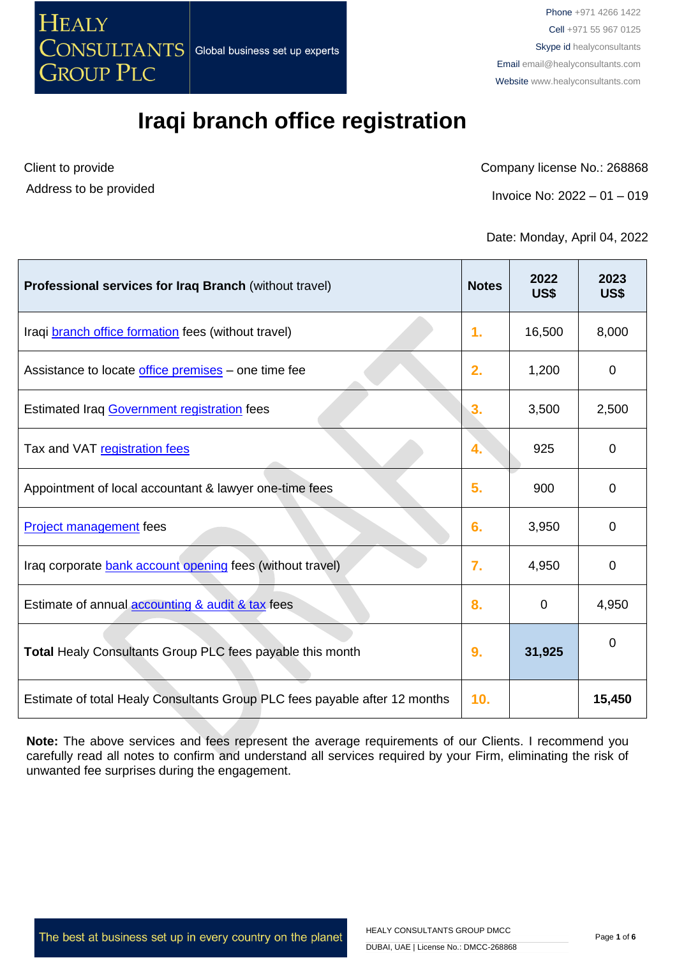

Client to provide Address to be provided Company license No.: 268868

Invoice No: 2022 – 01 – 019

Date: Monday, April 04, 2022

| Professional services for Iraq Branch (without travel)                     | <b>Notes</b>     | 2022<br>US\$ | 2023<br>US\$   |
|----------------------------------------------------------------------------|------------------|--------------|----------------|
| Iraqi branch office formation fees (without travel)                        | 1.               | 16,500       | 8,000          |
| Assistance to locate office premises - one time fee                        | 2.               | 1,200        | $\mathbf 0$    |
| <b>Estimated Iraq Government registration fees</b>                         | 3.               | 3,500        | 2,500          |
| Tax and VAT registration fees                                              | 4.               | 925          | $\overline{0}$ |
| Appointment of local accountant & lawyer one-time fees                     | 5.               | 900          | $\mathbf 0$    |
| Project management fees                                                    | 6.               | 3,950        | $\mathbf 0$    |
| Iraq corporate bank account opening fees (without travel)                  | $\overline{7}$ . | 4,950        | $\mathbf 0$    |
| Estimate of annual accounting & audit & tax fees                           | 8.               | $\mathbf 0$  | 4,950          |
| Total Healy Consultants Group PLC fees payable this month                  | 9.               | 31,925       | $\mathbf 0$    |
| Estimate of total Healy Consultants Group PLC fees payable after 12 months | 10.              |              | 15,450         |

**Note:** The above services and fees represent the average requirements of our Clients. I recommend you carefully read all notes to confirm and understand all services required by your Firm, eliminating the risk of unwanted fee surprises during the engagement.

The best at business set up in every country on the planet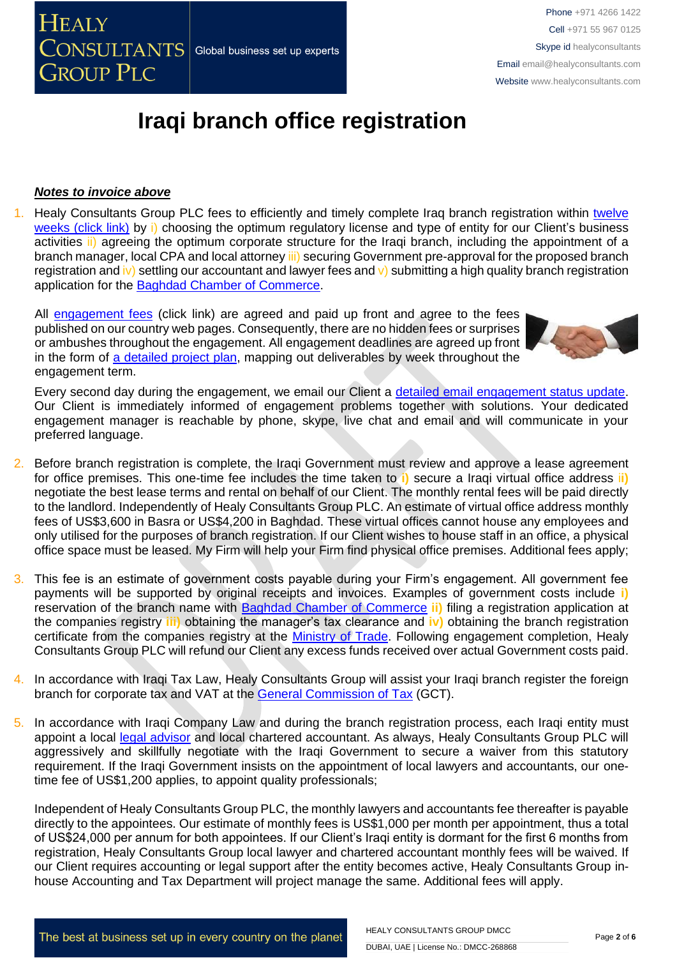

*Notes to invoice above*

All [engagement fees](http://www.healyconsultants.com/company-registration-fees/) (click link) are agreed and paid up front and agree to the fees published on our country web pages. Consequently, there are no hidden fees or surprises or ambushes throughout the engagement. All engagement deadlines are agreed up front in the form of [a detailed project plan,](http://www.healyconsultants.com/index-important-links/example-project-plan/) mapping out deliverables by week throughout the engagement term.

**Iraqi branch office registration** 

Every second day during the engagement, we email our Client a [detailed email engagement status update.](http://www.healyconsultants.com/index-important-links/weekly-engagement-status-email/) Our Client is immediately informed of engagement problems together with solutions. Your dedicated engagement manager is reachable by phone, skype, live chat and email and will communicate in your preferred language.

- 2. Before branch registration is complete, the Iraqi Government must review and approve a lease agreement for office premises. This one-time fee includes the time taken to **i)** secure a Iraqi virtual office address i**i)** negotiate the best lease terms and rental on behalf of our Client. The monthly rental fees will be paid directly to the landlord. Independently of Healy Consultants Group PLC. An estimate of virtual office address monthly fees of US\$3,600 in Basra or US\$4,200 in Baghdad. These virtual offices cannot house any employees and only utilised for the purposes of branch registration. If our Client wishes to house staff in an office, a physical office space must be leased. My Firm will help your Firm find physical office premises. Additional fees apply;
- 3. This fee is an estimate of government costs payable during your Firm's engagement. All government fee payments will be supported by original receipts and invoices. Examples of government costs include **i)** reservation of the branch name with [Baghdad Chamber of Commerce](http://www.baghdadchamber.com/) **ii)** filing a registration application at the companies registry **iii)** obtaining the manager's tax clearance and **iv)** obtaining the branch registration certificate from the companies registry at the [Ministry of Trade.](http://www.mot.gov.iq/) Following engagement completion, Healy Consultants Group PLC will refund our Client any excess funds received over actual Government costs paid.
- 4. In accordance with Iraqi Tax Law, Healy Consultants Group will assist your Iraqi branch register the foreign branch for corporate tax and VAT at the [General Commission of Tax](http://tax.mof.gov.iq/) (GCT).
- 5. In accordance with Iraqi Company Law and during the branch registration process, each Iraqi entity must appoint a local [legal advisor](https://ulf-iraq.com/wp-content/uploads/2021/04/Iraqi-bar-association_administrative-order_11-04-2021_English.pdf) and local chartered accountant. As always, Healy Consultants Group PLC will aggressively and skillfully negotiate with the Iraqi Government to secure a waiver from this statutory requirement. If the Iraqi Government insists on the appointment of local lawyers and accountants, our onetime fee of US\$1,200 applies, to appoint quality professionals;

Independent of Healy Consultants Group PLC, the monthly lawyers and accountants fee thereafter is payable directly to the appointees. Our estimate of monthly fees is US\$1,000 per month per appointment, thus a total of US\$24,000 per annum for both appointees. If our Client's Iraqi entity is dormant for the first 6 months from registration, Healy Consultants Group local lawyer and chartered accountant monthly fees will be waived. If our Client requires accounting or legal support after the entity becomes active, Healy Consultants Group inhouse Accounting and Tax Department will project manage the same. Additional fees will apply.

The best at business set up in every country on the planet





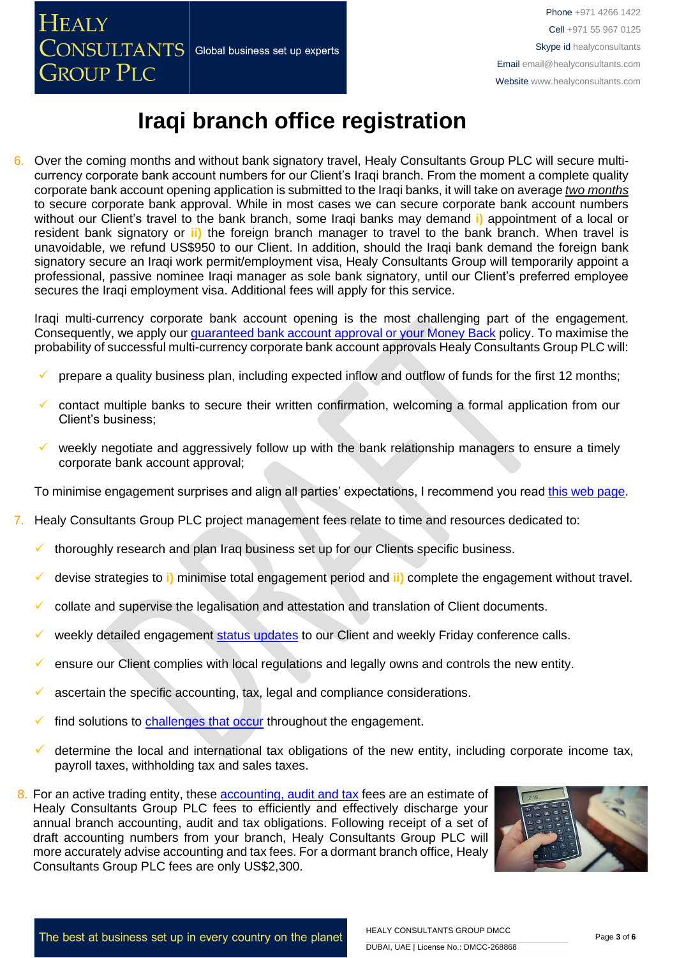

6. Over the coming months and without bank signatory travel, Healy Consultants Group PLC will secure multicurrency corporate bank account numbers for our Client's Iraqi branch. From the moment a complete quality corporate bank account opening application is submitted to the Iraqi banks, it will take on average *two months* to secure corporate bank approval. While in most cases we can secure corporate bank account numbers without our Client's travel to the bank branch, some Iraqi banks may demand **i)** appointment of a local or resident bank signatory or **ii)** the foreign branch manager to travel to the bank branch. When travel is unavoidable, we refund US\$950 to our Client. In addition, should the Iraqi bank demand the foreign bank signatory secure an Iraqi work permit/employment visa, Healy Consultants Group will temporarily appoint a professional, passive nominee Iraqi manager as sole bank signatory, until our Client's preferred employee secures the Iraqi employment visa. Additional fees will apply for this service.

Iraqi multi-currency corporate bank account opening is the most challenging part of the engagement. Consequently, we apply our *guaranteed bank account approval or your Money Back policy*. To maximise the probability of successful multi-currency corporate bank account approvals Healy Consultants Group PLC will:

- prepare a quality business plan, including expected inflow and outflow of funds for the first 12 months;
- ✓ contact multiple banks to secure their written confirmation, welcoming a formal application from our Client's business;
- weekly negotiate and aggressively follow up with the bank relationship managers to ensure a timely corporate bank account approval;

To minimise engagement surprises and align all parties' expectations, I recommend you read [this web page.](https://www.healyconsultants.com/multi-currency-corporate-bank-account/)

- 7. Healy Consultants Group PLC project management fees relate to time and resources dedicated to:
	- thoroughly research and plan Iraq business set up for our Clients specific business.
	- ✓ devise strategies to **i)** minimise total engagement period and **ii)** complete the engagement without travel.
	- collate and supervise the legalisation and attestation and translation of Client documents.
	- weekly detailed engagement [status updates](http://www.healyconsultants.com/index-important-links/weekly-engagement-status-email/) to our Client and weekly Friday conference calls.
	- ensure our Client complies with local regulations and legally owns and controls the new entity.
	- ascertain the specific accounting, tax, legal and compliance considerations.
	- find solutions to [challenges that occur](http://www.healyconsultants.com/engagement-project-management/) throughout the engagement.
	- determine the local and international tax obligations of the new entity, including corporate income tax, payroll taxes, withholding tax and sales taxes.
- 8. For an active trading entity, these [accounting, audit and tax](https://www.healyconsultants.com/noindex/accounting-and-tax-and-audit-obligations.pdf) fees are an estimate of Healy Consultants Group PLC fees to efficiently and effectively discharge your annual branch accounting, audit and tax obligations. Following receipt of a set of draft accounting numbers from your branch, Healy Consultants Group PLC will more accurately advise accounting and tax fees. For a dormant branch office, Healy Consultants Group PLC fees are only US\$2,300.

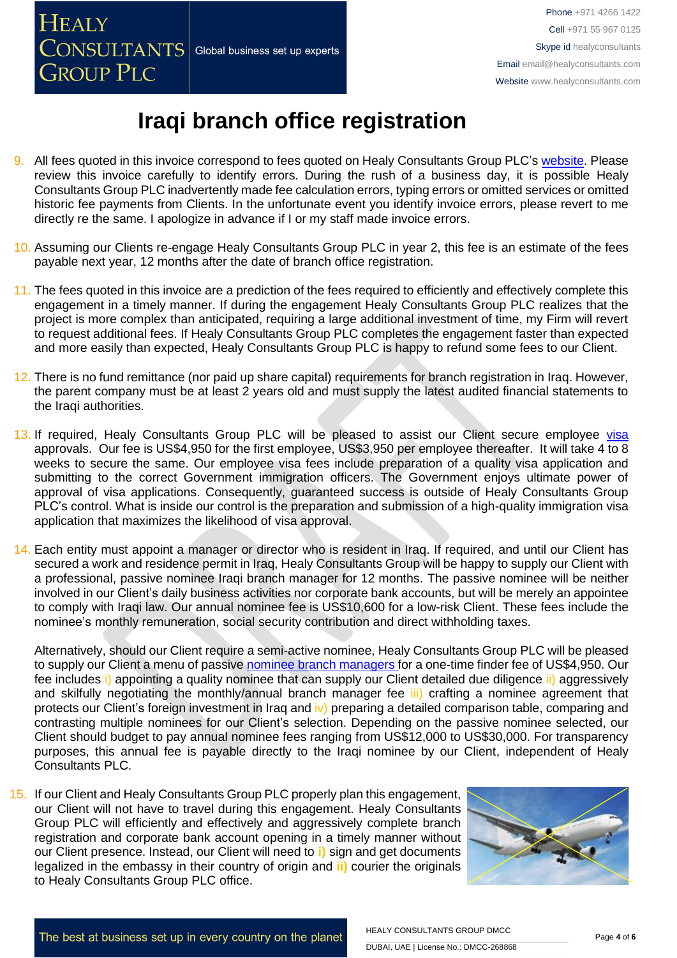

- 9. All fees quoted in this invoice correspond to fees quoted on Healy Consultants Group PLC's [website.](http://www.healyconsultants.com/company-registration-fees/) Please review this invoice carefully to identify errors. During the rush of a business day, it is possible Healy Consultants Group PLC inadvertently made fee calculation errors, typing errors or omitted services or omitted historic fee payments from Clients. In the unfortunate event you identify invoice errors, please revert to me directly re the same. I apologize in advance if I or my staff made invoice errors.
- 10. Assuming our Clients re-engage Healy Consultants Group PLC in year 2, this fee is an estimate of the fees payable next year, 12 months after the date of branch office registration.
- 11. The fees quoted in this invoice are a prediction of the fees required to efficiently and effectively complete this engagement in a timely manner. If during the engagement Healy Consultants Group PLC realizes that the project is more complex than anticipated, requiring a large additional investment of time, my Firm will revert to request additional fees. If Healy Consultants Group PLC completes the engagement faster than expected and more easily than expected, Healy Consultants Group PLC is happy to refund some fees to our Client.
- 12. There is no fund remittance (nor paid up share capital) requirements for branch registration in Iraq. However, the parent company must be at least 2 years old and must supply the latest audited financial statements to the Iraqi authorities.
- 13. If required, Healy Consultants Group PLC will be pleased to assist our Client secure employee [visa](http://www.healyconsultants.com/iraq-company-registration/formation-support-services/) approvals. Our fee is US\$4,950 for the first employee, US\$3,950 per employee thereafter. It will take 4 to 8 weeks to secure the same. Our employee visa fees include preparation of a quality visa application and submitting to the correct Government immigration officers. The Government enjoys ultimate power of approval of visa applications. Consequently, guaranteed success is outside of Healy Consultants Group PLC's control. What is inside our control is the preparation and submission of a high-quality immigration visa application that maximizes the likelihood of visa approval.
- 14. Each entity must appoint a manager or director who is resident in Iraq. If required, and until our Client has secured a work and residence permit in Iraq, Healy Consultants Group will be happy to supply our Client with a professional, passive nominee Iraqi branch manager for 12 months. The passive nominee will be neither involved in our Client's daily business activities nor corporate bank accounts, but will be merely an appointee to comply with Iraqi law. Our annual nominee fee is US\$10,600 for a low-risk Client. These fees include the nominee's monthly remuneration, social security contribution and direct withholding taxes.

Alternatively, should our Client require a semi-active nominee, Healy Consultants Group PLC will be pleased to supply our Client a menu of passive nominee branch managers for a one-time finder fee of US\$4,950. Our fee includes i) [appointing a quality nominee that can supply our Client detailed due diligence ii\)](https://www.healyconsultants.com/corporate-advisory-services/nominee-shareholders-directors/national-shareholder-services/) aggressively and skilfully negotiating [the monthly/annual branch manager fee iii\)](https://www.healyconsultants.com/corporate-advisory-services/nominee-shareholders-directors/national-shareholder-services/) crafting a nominee agreement that protects our Client's foreign investment in Irag and iv) preparing a detailed comparison table, comparing and [contrasting multiple nominees for our Client's](https://www.healyconsultants.com/corporate-advisory-services/nominee-shareholders-directors/national-shareholder-services/) selection. Depending on the passive nominee selected, our Client [should budget to pay annual nominee fees ranging from US\\$12,000 to US\\$30,000. For transparency](https://www.healyconsultants.com/corporate-advisory-services/nominee-shareholders-directors/national-shareholder-services/)  [purposes, this annual fee is payable directly to the Iraqi nominee by our Client,](https://www.healyconsultants.com/corporate-advisory-services/nominee-shareholders-directors/national-shareholder-services/) independent of Healy [Consultants PLC.](https://www.healyconsultants.com/corporate-advisory-services/nominee-shareholders-directors/national-shareholder-services/)

15. If our Client and Healy Consultants Group PLC properly plan this engagement, our Client will not have to travel during this engagement. Healy Consultants Group PLC will efficiently and effectively and aggressively complete branch registration and corporate bank account opening in a timely manner without our Client presence. Instead, our Client will need to **i)** sign and get documents legalized in the embassy in their country of origin and **ii)** courier the originals to Healy Consultants Group PLC office.

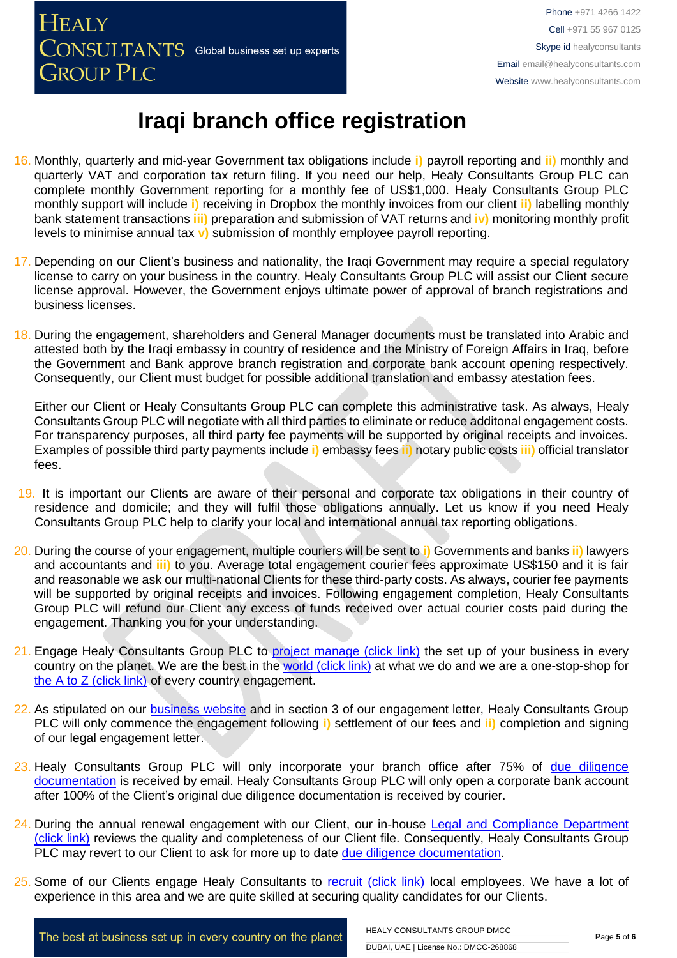

- 16. Monthly, quarterly and mid-year Government tax obligations include **i)** payroll reporting and **ii)** monthly and quarterly VAT and corporation tax return filing. If you need our help, Healy Consultants Group PLC can complete monthly Government reporting for a monthly fee of US\$1,000. Healy Consultants Group PLC monthly support will include **i)** receiving in Dropbox the monthly invoices from our client **ii)** labelling monthly bank statement transactions **iii)** preparation and submission of VAT returns and **iv)** monitoring monthly profit levels to minimise annual tax **v)** submission of monthly employee payroll reporting.
- 17. Depending on our Client's business and nationality, the Iraqi Government may require a special regulatory license to carry on your business in the country. Healy Consultants Group PLC will assist our Client secure license approval. However, the Government enjoys ultimate power of approval of branch registrations and business licenses.
- 18. During the engagement, shareholders and General Manager documents must be translated into Arabic and attested both by the Iraqi embassy in country of residence and the Ministry of Foreign Affairs in Iraq, before the Government and Bank approve branch registration and corporate bank account opening respectively. Consequently, our Client must budget for possible additional translation and embassy atestation fees.

Either our Client or Healy Consultants Group PLC can complete this administrative task. As always, Healy Consultants Group PLC will negotiate with all third parties to eliminate or reduce additonal engagement costs. For transparency purposes, all third party fee payments will be supported by original receipts and invoices. Examples of possible third party payments include **i)** embassy fees **ii)** notary public costs **iii)** official translator fees.

- 19. It is important our Clients are aware of their personal and corporate tax obligations in their country of residence and domicile; and they will fulfil those obligations annually. Let us know if you need Healy Consultants Group PLC help to clarify your local and international annual tax reporting obligations.
- 20. During the course of your engagement, multiple couriers will be sent to **i)** Governments and banks **ii)** lawyers and accountants and **iii)** to you. Average total engagement courier fees approximate US\$150 and it is fair and reasonable we ask our multi-national Clients for these third-party costs. As always, courier fee payments will be supported by original receipts and invoices. Following engagement completion. Healy Consultants Group PLC will refund our Client any excess of funds received over actual courier costs paid during the engagement. Thanking you for your understanding.
- 21. Engage Healy Consultants Group PLC to [project manage \(click link\)](http://www.healyconsultants.com/project-manage-engagements/) the set up of your business in every country on the planet. We are the best in the [world \(click link\)](http://www.healyconsultants.com/best-in-the-world/) at what we do and we are a one-stop-shop for [the A to Z \(click link\)](http://www.healyconsultants.com/a-to-z-of-business-set-up/) of every country engagement.
- 22. As stipulated on our [business website](http://www.healyconsultants.com/) and in section 3 of our engagement letter, Healy Consultants Group PLC will only commence the engagement following **i)** settlement of our fees and **ii)** completion and signing of our legal engagement letter.
- 23. Healy Consultants Group PLC will only incorporate your branch office after 75% of due diligence [documentation](http://www.healyconsultants.com/due-diligence/) is received by email. Healy Consultants Group PLC will only open a corporate bank account after 100% of the Client's original due diligence documentation is received by courier.
- 24. During the annual renewal engagement with our Client, our in-house [Legal and Compliance Department](http://www.healyconsultants.com/about-us/key-personnel/cai-xin-profile/)  [\(click link\)](http://www.healyconsultants.com/about-us/key-personnel/cai-xin-profile/) reviews the quality and completeness of our Client file. Consequently, Healy Consultants Group PLC may revert to our Client to ask for more up to date [due diligence documentation.](http://www.healyconsultants.com/due-diligence/)
- 25. Some of our Clients engage Healy Consultants to [recruit \(click link\)](http://www.healyconsultants.com/corporate-outsourcing-services/how-we-help-our-clients-recruit-quality-employees/) local employees. We have a lot of experience in this area and we are quite skilled at securing quality candidates for our Clients.